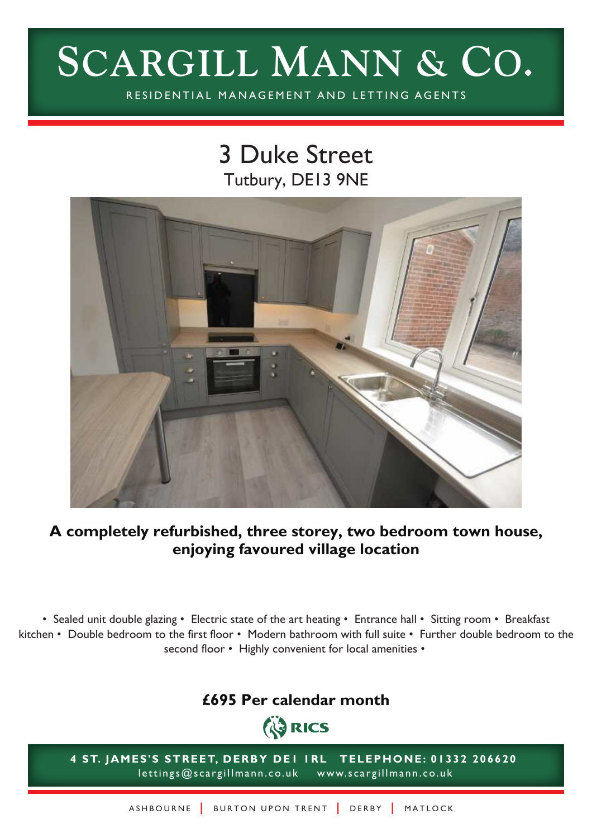# **SCARGILL MANN & CO.**

RESIDENTIAL MANAGEMENT AND LETTING AGENTS

# 3 Duke Street Tutbury, DE13 9NE



### **A completely refurbished, three storey, two bedroom town house, enjoying favoured village location**

• Sealed unit double glazing • Electric state of the art heating • Entrance hall • Sitting room • Breakfast kitchen • Double bedroom to the first floor • Modern bathroom with full suite • Further double bedroom to the second floor • Highly convenient for local amenities •

## **£695 Per calendar month**



**4 ST. JAMES'S STREET, DERBY DE1 1RL TELEPHONE: 01332 206620** lettings@scargillmann.co.uk www.scargillmann.co.uk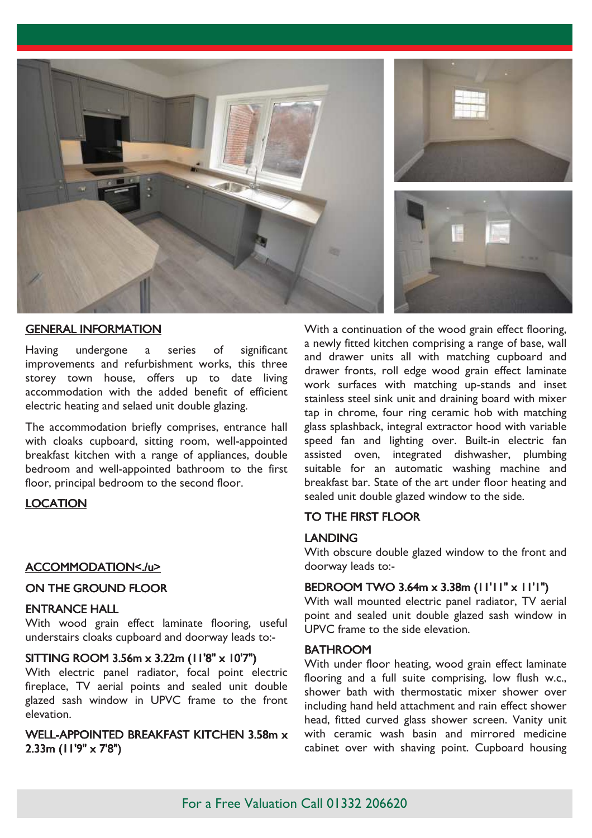

#### GENERAL INFORMATION

Having undergone a series of significant improvements and refurbishment works, this three storey town house, offers up to date living accommodation with the added benefit of efficient electric heating and selaed unit double glazing.

The accommodation briefly comprises, entrance hall with cloaks cupboard, sitting room, well-appointed breakfast kitchen with a range of appliances, double bedroom and well-appointed bathroom to the first floor, principal bedroom to the second floor.

#### LOCATION

#### ACCOMMODATION<./u>

#### ON THE GROUND FLOOR

#### ENTRANCE HALL

With wood grain effect laminate flooring, useful understairs cloaks cupboard and doorway leads to:-

#### SITTING ROOM 3.56m x 3.22m (11'8" x 10'7")

With electric panel radiator, focal point electric fireplace, TV aerial points and sealed unit double glazed sash window in UPVC frame to the front elevation.

#### WELL-APPOINTED BREAKFAST KITCHEN 3.58m x 2.33m (11'9" x 7'8")

With a continuation of the wood grain effect flooring, a newly fitted kitchen comprising a range of base, wall and drawer units all with matching cupboard and drawer fronts, roll edge wood grain effect laminate work surfaces with matching up-stands and inset stainless steel sink unit and draining board with mixer tap in chrome, four ring ceramic hob with matching glass splashback, integral extractor hood with variable speed fan and lighting over. Built-in electric fan assisted oven, integrated dishwasher, plumbing suitable for an automatic washing machine and breakfast bar. State of the art under floor heating and sealed unit double glazed window to the side.

#### TO THE FIRST FLOOR

#### LANDING

With obscure double glazed window to the front and doorway leads to:-

#### BEDROOM TWO 3.64m x 3.38m (11'11" x 11'1")

With wall mounted electric panel radiator, TV aerial point and sealed unit double glazed sash window in UPVC frame to the side elevation.

#### **BATHROOM**

With under floor heating, wood grain effect laminate flooring and a full suite comprising, low flush w.c., shower bath with thermostatic mixer shower over including hand held attachment and rain effect shower head, fitted curved glass shower screen. Vanity unit with ceramic wash basin and mirrored medicine cabinet over with shaving point. Cupboard housing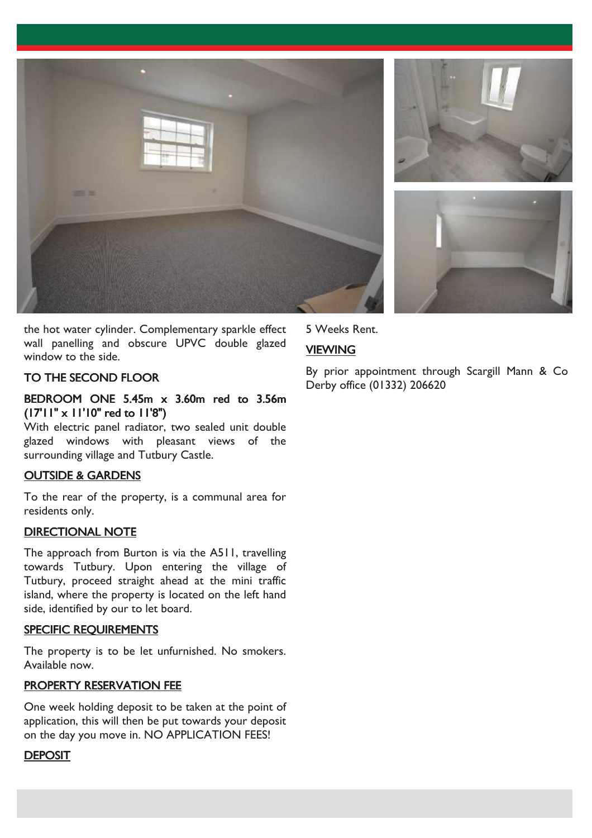





the hot water cylinder. Complementary sparkle effect wall panelling and obscure UPVC double glazed window to the side.

#### TO THE SECOND FLOOR

#### BEDROOM ONE 5.45m x 3.60m red to 3.56m (17'11" x 11'10" red to 11'8")

With electric panel radiator, two sealed unit double glazed windows with pleasant views of the surrounding village and Tutbury Castle.

#### OUTSIDE & GARDENS

To the rear of the property, is a communal area for residents only.

#### DIRECTIONAL NOTE

The approach from Burton is via the A511, travelling towards Tutbury. Upon entering the village of Tutbury, proceed straight ahead at the mini traffic island, where the property is located on the left hand side, identified by our to let board.

#### SPECIFIC REQUIREMENTS

The property is to be let unfurnished. No smokers. Available now.

#### PROPERTY RESERVATION FEE

One week holding deposit to be taken at the point of application, this will then be put towards your deposit on the day you move in. NO APPLICATION FEES!

#### **DEPOSIT**

5 Weeks Rent.

#### **VIEWING**

By prior appointment through Scargill Mann & Co Derby office (01332) 206620